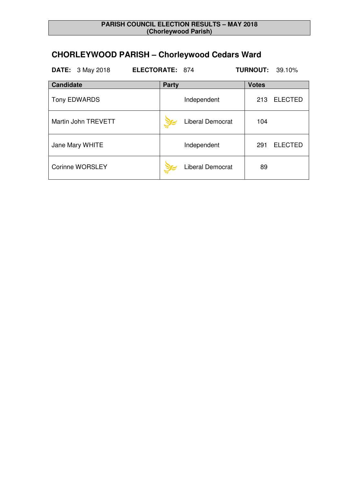# **CHORLEYWOOD PARISH – Chorleywood Cedars Ward**

| <b>DATE:</b> 3 May 2018 | <b>ELECTORATE: 874</b> | <b>TURNOUT: 39.10%</b> |
|-------------------------|------------------------|------------------------|
| <b>Candidate</b>        | <b>Party</b>           | <b>Votes</b>           |
| <b>Tony EDWARDS</b>     | Independent            | <b>ELECTED</b><br>213  |
| Martin John TREVETT     | Liberal Democrat       | 104                    |
| Jane Mary WHITE         | Independent            | <b>ELECTED</b><br>291  |
| <b>Corinne WORSLEY</b>  | Liberal Democrat       | 89                     |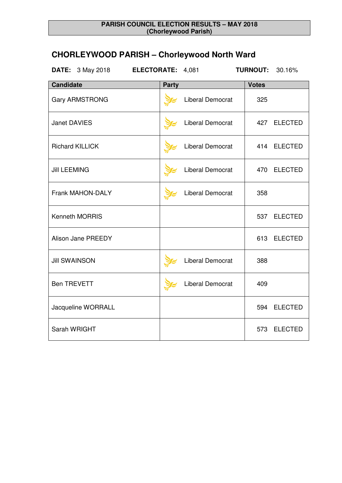# **CHORLEYWOOD PARISH – Chorleywood North Ward**

| <b>DATE:</b> 3 May 2018 | ELECTORATE: 4,081 |                         | <b>TURNOUT:</b> | 30.16%         |
|-------------------------|-------------------|-------------------------|-----------------|----------------|
| <b>Candidate</b>        | <b>Party</b>      |                         | <b>Votes</b>    |                |
| <b>Gary ARMSTRONG</b>   |                   | Liberal Democrat        | 325             |                |
| <b>Janet DAVIES</b>     |                   | Liberal Democrat        | 427             | <b>ELECTED</b> |
| <b>Richard KILLICK</b>  |                   | <b>Liberal Democrat</b> | 414             | <b>ELECTED</b> |
| <b>Jill LEEMING</b>     |                   | <b>Liberal Democrat</b> | 470             | <b>ELECTED</b> |
| Frank MAHON-DALY        |                   | <b>Liberal Democrat</b> | 358             |                |
| Kenneth MORRIS          |                   |                         | 537             | <b>ELECTED</b> |
| Alison Jane PREEDY      |                   |                         | 613             | <b>ELECTED</b> |
| <b>Jill SWAINSON</b>    |                   | Liberal Democrat        | 388             |                |
| <b>Ben TREVETT</b>      |                   | <b>Liberal Democrat</b> | 409             |                |
| Jacqueline WORRALL      |                   |                         | 594             | <b>ELECTED</b> |
| Sarah WRIGHT            |                   |                         | 573             | <b>ELECTED</b> |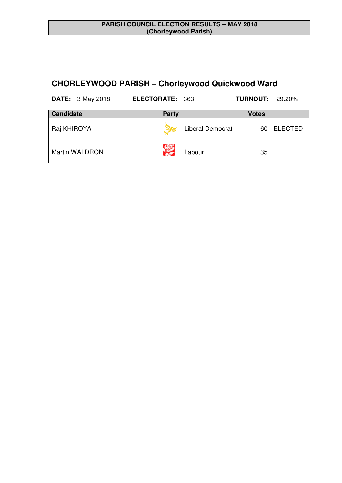## **CHORLEYWOOD PARISH – Chorleywood Quickwood Ward**

| <b>DATE:</b> 3 May 2018 | <b>ELECTORATE: 363</b> |                         | <b>TURNOUT: 29.20%</b> |                |
|-------------------------|------------------------|-------------------------|------------------------|----------------|
| <b>Candidate</b>        | <b>Party</b>           |                         | <b>Votes</b>           |                |
| Raj KHIROYA             |                        | <b>Liberal Democrat</b> | 60                     | <b>ELECTED</b> |
| Martin WALDRON          |                        | Labour                  | 35                     |                |